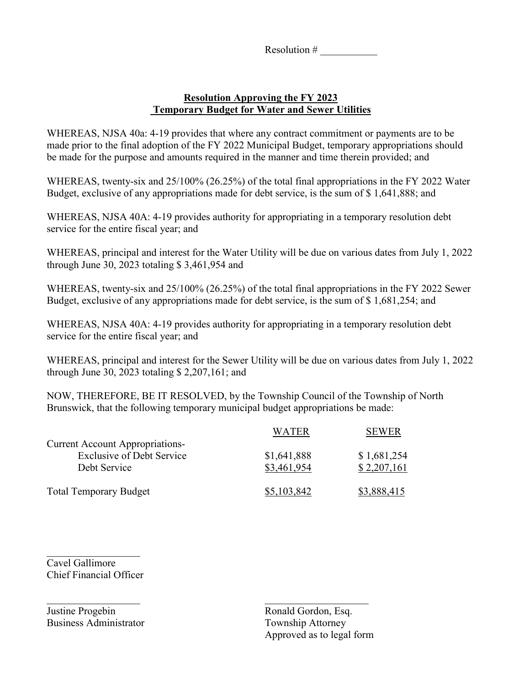Resolution # \_\_\_\_\_\_\_\_\_\_\_

## **Resolution Approving the FY 2023 Temporary Budget for Water and Sewer Utilities**

WHEREAS, NJSA 40a: 4-19 provides that where any contract commitment or payments are to be made prior to the final adoption of the FY 2022 Municipal Budget, temporary appropriations should be made for the purpose and amounts required in the manner and time therein provided; and

WHEREAS, twenty-six and 25/100% (26.25%) of the total final appropriations in the FY 2022 Water Budget, exclusive of any appropriations made for debt service, is the sum of \$ 1,641,888; and

WHEREAS, NJSA 40A: 4-19 provides authority for appropriating in a temporary resolution debt service for the entire fiscal year; and

WHEREAS, principal and interest for the Water Utility will be due on various dates from July 1, 2022 through June 30, 2023 totaling \$ 3,461,954 and

WHEREAS, twenty-six and 25/100% (26.25%) of the total final appropriations in the FY 2022 Sewer Budget, exclusive of any appropriations made for debt service, is the sum of \$ 1,681,254; and

WHEREAS, NJSA 40A: 4-19 provides authority for appropriating in a temporary resolution debt service for the entire fiscal year; and

WHEREAS, principal and interest for the Sewer Utility will be due on various dates from July 1, 2022 through June 30, 2023 totaling \$ 2,207,161; and

NOW, THEREFORE, BE IT RESOLVED, by the Township Council of the Township of North Brunswick, that the following temporary municipal budget appropriations be made:

|                                                                            | WATER       | <b>SEWER</b> |
|----------------------------------------------------------------------------|-------------|--------------|
| <b>Current Account Appropriations-</b><br><b>Exclusive of Debt Service</b> | \$1,641,888 | \$1,681,254  |
| Debt Service                                                               | \$3,461,954 | \$2,207,161  |
| <b>Total Temporary Budget</b>                                              | \$5,103,842 | \$3,888,415  |

 $\overline{\phantom{a}}$  ,  $\overline{\phantom{a}}$  ,  $\overline{\phantom{a}}$  ,  $\overline{\phantom{a}}$  ,  $\overline{\phantom{a}}$  ,  $\overline{\phantom{a}}$  ,  $\overline{\phantom{a}}$  ,  $\overline{\phantom{a}}$  ,  $\overline{\phantom{a}}$  ,  $\overline{\phantom{a}}$  ,  $\overline{\phantom{a}}$  ,  $\overline{\phantom{a}}$  ,  $\overline{\phantom{a}}$  ,  $\overline{\phantom{a}}$  ,  $\overline{\phantom{a}}$  ,  $\overline{\phantom{a}}$ 

 $\mathcal{L}_\text{max}$  , where  $\mathcal{L}_\text{max}$ Cavel Gallimore Chief Financial Officer

Justine Progebin Ronald Gordon, Esq. Business Administrator Township Attorney

Approved as to legal form